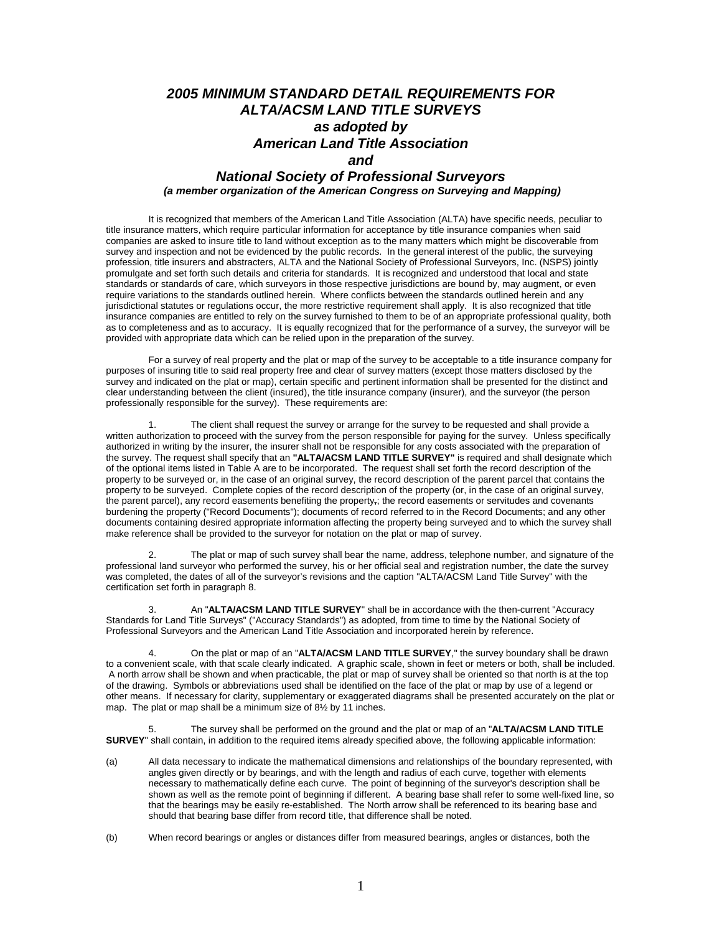## *2005 MINIMUM STANDARD DETAIL REQUIREMENTS FOR ALTA/ACSM LAND TITLE SURVEYS as adopted by American Land Title Association and National Society of Professional Surveyors*

 *(a member organization of the American Congress on Surveying and Mapping)*

It is recognized that members of the American Land Title Association (ALTA) have specific needs, peculiar to title insurance matters, which require particular information for acceptance by title insurance companies when said companies are asked to insure title to land without exception as to the many matters which might be discoverable from survey and inspection and not be evidenced by the public records. In the general interest of the public, the surveying profession, title insurers and abstracters, ALTA and the National Society of Professional Surveyors, Inc. (NSPS) jointly promulgate and set forth such details and criteria for standards. It is recognized and understood that local and state standards or standards of care, which surveyors in those respective jurisdictions are bound by, may augment, or even require variations to the standards outlined herein. Where conflicts between the standards outlined herein and any jurisdictional statutes or regulations occur, the more restrictive requirement shall apply. It is also recognized that title insurance companies are entitled to rely on the survey furnished to them to be of an appropriate professional quality, both as to completeness and as to accuracy. It is equally recognized that for the performance of a survey, the surveyor will be provided with appropriate data which can be relied upon in the preparation of the survey.

For a survey of real property and the plat or map of the survey to be acceptable to a title insurance company for purposes of insuring title to said real property free and clear of survey matters (except those matters disclosed by the survey and indicated on the plat or map), certain specific and pertinent information shall be presented for the distinct and clear understanding between the client (insured), the title insurance company (insurer), and the surveyor (the person professionally responsible for the survey). These requirements are:

1. The client shall request the survey or arrange for the survey to be requested and shall provide a written authorization to proceed with the survey from the person responsible for paying for the survey. Unless specifically authorized in writing by the insurer, the insurer shall not be responsible for any costs associated with the preparation of the survey. The request shall specify that an **"ALTA/ACSM LAND TITLE SURVEY"** is required and shall designate which of the optional items listed in Table A are to be incorporated. The request shall set forth the record description of the property to be surveyed or, in the case of an original survey, the record description of the parent parcel that contains the property to be surveyed. Complete copies of the record description of the property (or, in the case of an original survey, the parent parcel), any record easements benefiting the property,; the record easements or servitudes and covenants burdening the property ("Record Documents"); documents of record referred to in the Record Documents; and any other documents containing desired appropriate information affecting the property being surveyed and to which the survey shall make reference shall be provided to the surveyor for notation on the plat or map of survey.

2. The plat or map of such survey shall bear the name, address, telephone number, and signature of the professional land surveyor who performed the survey, his or her official seal and registration number, the date the survey was completed, the dates of all of the surveyor's revisions and the caption "ALTA/ACSM Land Title Survey" with the certification set forth in paragraph 8.

 3. An "**ALTA/ACSM LAND TITLE SURVEY**" shall be in accordance with the then-current "Accuracy Standards for Land Title Surveys" ("Accuracy Standards") as adopted, from time to time by the National Society of Professional Surveyors and the American Land Title Association and incorporated herein by reference.

4. On the plat or map of an "**ALTA/ACSM LAND TITLE SURVEY**," the survey boundary shall be drawn to a convenient scale, with that scale clearly indicated. A graphic scale, shown in feet or meters or both, shall be included. A north arrow shall be shown and when practicable, the plat or map of survey shall be oriented so that north is at the top of the drawing. Symbols or abbreviations used shall be identified on the face of the plat or map by use of a legend or other means. If necessary for clarity, supplementary or exaggerated diagrams shall be presented accurately on the plat or map. The plat or map shall be a minimum size of 8½ by 11 inches.

5. The survey shall be performed on the ground and the plat or map of an "**ALTA/ACSM LAND TITLE SURVEY**" shall contain, in addition to the required items already specified above, the following applicable information:

- (a) All data necessary to indicate the mathematical dimensions and relationships of the boundary represented, with angles given directly or by bearings, and with the length and radius of each curve, together with elements necessary to mathematically define each curve. The point of beginning of the surveyor's description shall be shown as well as the remote point of beginning if different. A bearing base shall refer to some well-fixed line, so that the bearings may be easily re-established. The North arrow shall be referenced to its bearing base and should that bearing base differ from record title, that difference shall be noted.
- (b) When record bearings or angles or distances differ from measured bearings, angles or distances, both the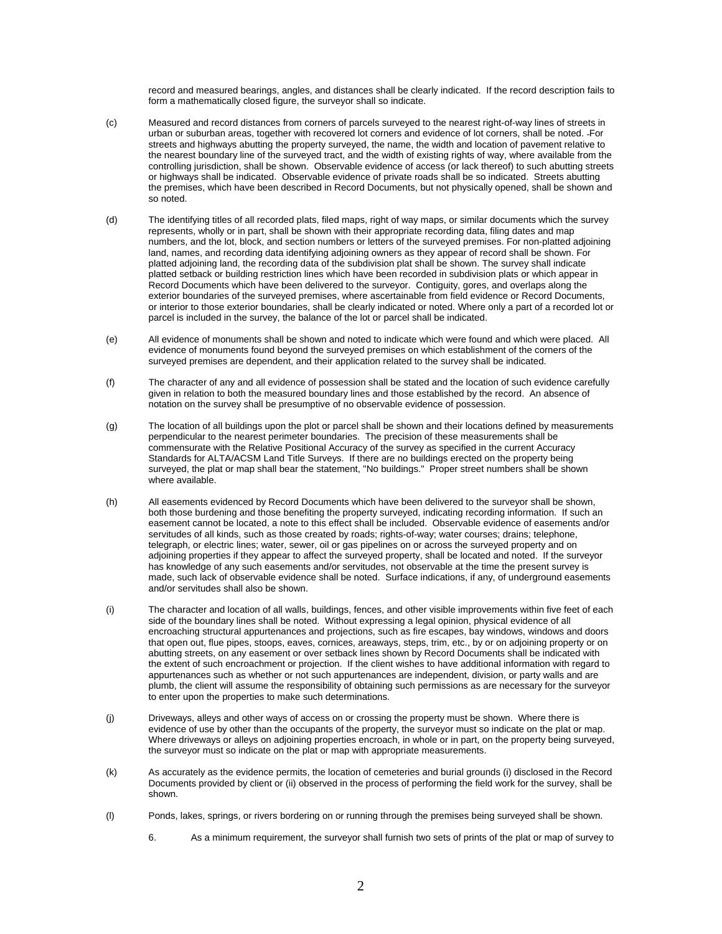record and measured bearings, angles, and distances shall be clearly indicated. If the record description fails to form a mathematically closed figure, the surveyor shall so indicate.

- (c) Measured and record distances from corners of parcels surveyed to the nearest right-of-way lines of streets in urban or suburban areas, together with recovered lot corners and evidence of lot corners, shall be noted. For streets and highways abutting the property surveyed, the name, the width and location of pavement relative to the nearest boundary line of the surveyed tract, and the width of existing rights of way, where available from the controlling jurisdiction, shall be shown. Observable evidence of access (or lack thereof) to such abutting streets or highways shall be indicated. Observable evidence of private roads shall be so indicated. Streets abutting the premises, which have been described in Record Documents, but not physically opened, shall be shown and so noted.
- (d) The identifying titles of all recorded plats, filed maps, right of way maps, or similar documents which the survey represents, wholly or in part, shall be shown with their appropriate recording data, filing dates and map numbers, and the lot, block, and section numbers or letters of the surveyed premises. For non-platted adjoining land, names, and recording data identifying adjoining owners as they appear of record shall be shown. For platted adjoining land, the recording data of the subdivision plat shall be shown. The survey shall indicate platted setback or building restriction lines which have been recorded in subdivision plats or which appear in Record Documents which have been delivered to the surveyor. Contiguity, gores, and overlaps along the exterior boundaries of the surveyed premises, where ascertainable from field evidence or Record Documents, or interior to those exterior boundaries, shall be clearly indicated or noted. Where only a part of a recorded lot or parcel is included in the survey, the balance of the lot or parcel shall be indicated.
- (e) All evidence of monuments shall be shown and noted to indicate which were found and which were placed. All evidence of monuments found beyond the surveyed premises on which establishment of the corners of the surveyed premises are dependent, and their application related to the survey shall be indicated.
- (f) The character of any and all evidence of possession shall be stated and the location of such evidence carefully given in relation to both the measured boundary lines and those established by the record. An absence of notation on the survey shall be presumptive of no observable evidence of possession.
- (g) The location of all buildings upon the plot or parcel shall be shown and their locations defined by measurements perpendicular to the nearest perimeter boundaries. The precision of these measurements shall be commensurate with the Relative Positional Accuracy of the survey as specified in the current Accuracy Standards for ALTA/ACSM Land Title Surveys. If there are no buildings erected on the property being surveyed, the plat or map shall bear the statement, "No buildings." Proper street numbers shall be shown where available.
- (h) All easements evidenced by Record Documents which have been delivered to the surveyor shall be shown, both those burdening and those benefiting the property surveyed, indicating recording information. If such an easement cannot be located, a note to this effect shall be included. Observable evidence of easements and/or servitudes of all kinds, such as those created by roads; rights-of-way; water courses; drains; telephone, telegraph, or electric lines; water, sewer, oil or gas pipelines on or across the surveyed property and on adjoining properties if they appear to affect the surveyed property, shall be located and noted. If the surveyor has knowledge of any such easements and/or servitudes, not observable at the time the present survey is made, such lack of observable evidence shall be noted. Surface indications, if any, of underground easements and/or servitudes shall also be shown.
- (i) The character and location of all walls, buildings, fences, and other visible improvements within five feet of each side of the boundary lines shall be noted. Without expressing a legal opinion, physical evidence of all encroaching structural appurtenances and projections, such as fire escapes, bay windows, windows and doors that open out, flue pipes, stoops, eaves, cornices, areaways, steps, trim, etc., by or on adjoining property or on abutting streets, on any easement or over setback lines shown by Record Documents shall be indicated with the extent of such encroachment or projection. If the client wishes to have additional information with regard to appurtenances such as whether or not such appurtenances are independent, division, or party walls and are plumb, the client will assume the responsibility of obtaining such permissions as are necessary for the surveyor to enter upon the properties to make such determinations.
- (j) Driveways, alleys and other ways of access on or crossing the property must be shown. Where there is evidence of use by other than the occupants of the property, the surveyor must so indicate on the plat or map. Where driveways or alleys on adjoining properties encroach, in whole or in part, on the property being surveyed, the surveyor must so indicate on the plat or map with appropriate measurements.
- (k) As accurately as the evidence permits, the location of cemeteries and burial grounds (i) disclosed in the Record Documents provided by client or (ii) observed in the process of performing the field work for the survey, shall be shown.
- (l) Ponds, lakes, springs, or rivers bordering on or running through the premises being surveyed shall be shown.
	- 6. As a minimum requirement, the surveyor shall furnish two sets of prints of the plat or map of survey to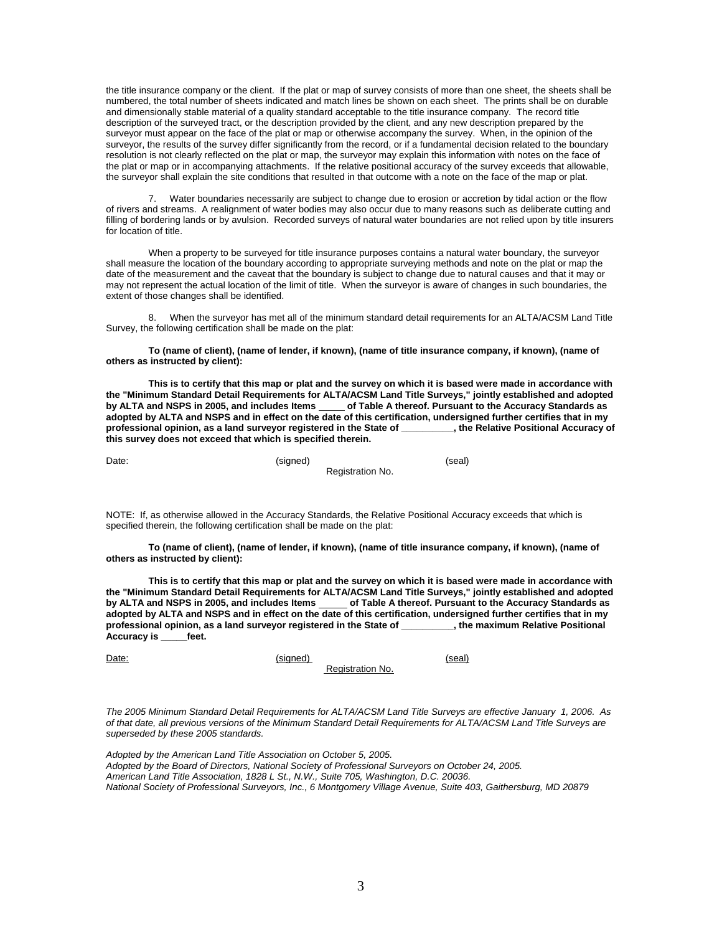the title insurance company or the client. If the plat or map of survey consists of more than one sheet, the sheets shall be numbered, the total number of sheets indicated and match lines be shown on each sheet. The prints shall be on durable and dimensionally stable material of a quality standard acceptable to the title insurance company. The record title description of the surveyed tract, or the description provided by the client, and any new description prepared by the surveyor must appear on the face of the plat or map or otherwise accompany the survey. When, in the opinion of the surveyor, the results of the survey differ significantly from the record, or if a fundamental decision related to the boundary resolution is not clearly reflected on the plat or map, the surveyor may explain this information with notes on the face of the plat or map or in accompanying attachments. If the relative positional accuracy of the survey exceeds that allowable, the surveyor shall explain the site conditions that resulted in that outcome with a note on the face of the map or plat.

Water boundaries necessarily are subject to change due to erosion or accretion by tidal action or the flow of rivers and streams. A realignment of water bodies may also occur due to many reasons such as deliberate cutting and filling of bordering lands or by avulsion. Recorded surveys of natural water boundaries are not relied upon by title insurers for location of title.

When a property to be surveyed for title insurance purposes contains a natural water boundary, the surveyor shall measure the location of the boundary according to appropriate surveying methods and note on the plat or map the date of the measurement and the caveat that the boundary is subject to change due to natural causes and that it may or may not represent the actual location of the limit of title. When the surveyor is aware of changes in such boundaries, the extent of those changes shall be identified.

8. When the surveyor has met all of the minimum standard detail requirements for an ALTA/ACSM Land Title Survey, the following certification shall be made on the plat:

**To (name of client), (name of lender, if known), (name of title insurance company, if known), (name of others as instructed by client):** 

**This is to certify that this map or plat and the survey on which it is based were made in accordance with the "Minimum Standard Detail Requirements for ALTA/ACSM Land Title Surveys," jointly established and adopted**  by ALTA and NSPS in 2005, and includes Items \_\_\_\_\_ of Table A thereof. Pursuant to the Accuracy Standards as **adopted by ALTA and NSPS and in effect on the date of this certification, undersigned further certifies that in my professional opinion, as a land surveyor registered in the State of \_\_\_\_\_\_\_\_\_\_, the Relative Positional Accuracy of this survey does not exceed that which is specified therein.**

| Date: | (signed) | (seal) |
|-------|----------|--------|
|       |          |        |

Registration No.

NOTE: If, as otherwise allowed in the Accuracy Standards, the Relative Positional Accuracy exceeds that which is specified therein, the following certification shall be made on the plat:

**To (name of client), (name of lender, if known), (name of title insurance company, if known), (name of others as instructed by client):** 

**This is to certify that this map or plat and the survey on which it is based were made in accordance with the "Minimum Standard Detail Requirements for ALTA/ACSM Land Title Surveys," jointly established and adopted**  by ALTA and NSPS in 2005, and includes Items \_\_\_\_\_\_ of Table A thereof. Pursuant to the Accuracy Standards as **adopted by ALTA and NSPS and in effect on the date of this certification, undersigned further certifies that in my professional opinion, as a land surveyor registered in the State of \_\_\_\_\_\_\_\_\_\_, the maximum Relative Positional Accuracy is \_\_\_\_\_feet.** 

Date: (signed) (signed) (seal) Registration No.

*The 2005 Minimum Standard Detail Requirements for ALTA/ACSM Land Title Surveys are effective January 1, 2006. As of that date, all previous versions of the Minimum Standard Detail Requirements for ALTA/ACSM Land Title Surveys are superseded by these 2005 standards.* 

*Adopted by the American Land Title Association on October 5, 2005. Adopted by the Board of Directors, National Society of Professional Surveyors on October 24, 2005. American Land Title Association, 1828 L St., N.W., Suite 705, Washington, D.C. 20036. National Society of Professional Surveyors, Inc., 6 Montgomery Village Avenue, Suite 403, Gaithersburg, MD 20879*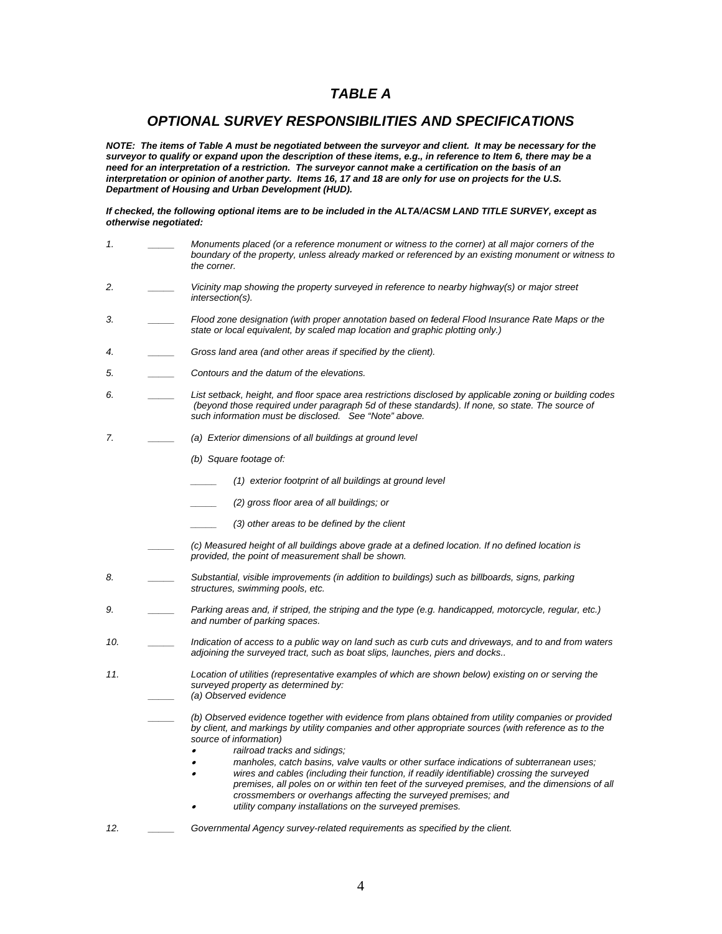## *TABLE A*

### *OPTIONAL SURVEY RESPONSIBILITIES AND SPECIFICATIONS*

*NOTE: The items of Table A must be negotiated between the surveyor and client. It may be necessary for the surveyor to qualify or expand upon the description of these items, e.g., in reference to Item 6, there may be a need for an interpretation of a restriction. The surveyor cannot make a certification on the basis of an interpretation or opinion of another party. Items 16, 17 and 18 are only for use on projects for the U.S. Department of Housing and Urban Development (HUD).* 

*If checked, the following optional items are to be included in the ALTA/ACSM LAND TITLE SURVEY, except as otherwise negotiated:* 

*1. \_\_\_\_\_ Monuments placed (or a reference monument or witness to the corner) at all major corners of the* 

*boundary of the property, unless already marked or referenced by an existing monument or witness to the corner. 2. \_\_\_\_\_ Vicinity map showing the property surveyed in reference to nearby highway(s) or major street intersection(s). 3. \_\_\_\_\_ Flood zone designation (with proper annotation based on federal Flood Insurance Rate Maps or the state or local equivalent, by scaled map location and graphic plotting only.) 4. \_\_\_\_\_ Gross land area (and other areas if specified by the client). 5. \_\_\_\_\_ Contours and the datum of the elevations. 6. \_\_\_\_\_ List setback, height, and floor space area restrictions disclosed by applicable zoning or building codes (beyond those required under paragraph 5d of these standards). If none, so state. The source of such information must be disclosed. See "Note" above. 7. \_\_\_\_\_ (a) Exterior dimensions of all buildings at ground level (b) Square footage of: \_\_\_\_\_ (1) exterior footprint of all buildings at ground level \_\_\_\_\_ (2) gross floor area of all buildings; or \_\_\_\_\_ (3) other areas to be defined by the client \_\_\_\_\_ (c) Measured height of all buildings above grade at a defined location. If no defined location is provided, the point of measurement shall be shown. 8. \_\_\_\_\_ Substantial, visible improvements (in addition to buildings) such as billboards, signs, parking structures, swimming pools, etc. 9. \_\_\_\_\_ Parking areas and, if striped, the striping and the type (e.g. handicapped, motorcycle, regular, etc.) and number of parking spaces. 10. \_\_\_\_\_ Indication of access to a public way on land such as curb cuts and driveways, and to and from waters adjoining the surveyed tract, such as boat slips, launches, piers and docks.. 11. Location of utilities (representative examples of which are shown below) existing on or serving the surveyed property as determined by: \_\_\_\_\_ (a) Observed evidence \_\_\_\_\_ (b) Observed evidence together with evidence from plans obtained from utility companies or provided by client, and markings by utility companies and other appropriate sources (with reference as to the source of information)* • *railroad tracks and sidings;* • *manholes, catch basins, valve vaults or other surface indications of subterranean uses;* • *wires and cables (including their function, if readily identifiable) crossing the surveyed*  premises, all poles on or within ten feet of the surveyed premises, and the dimensions of all *crossmembers or overhangs affecting the surveyed premises; and* • *utility company installations on the surveyed premises. 12. \_\_\_\_\_ Governmental Agency survey-related requirements as specified by the client.*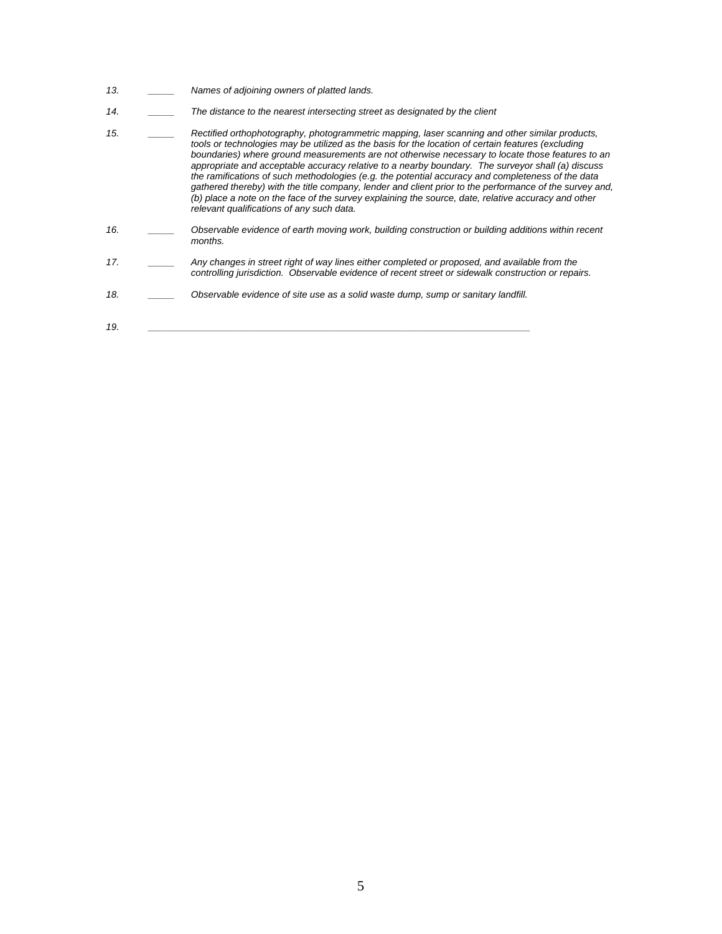*13. \_\_\_\_\_ Names of adjoining owners of platted lands.* 

*months.* 

- *14. \_\_\_\_\_ The distance to the nearest intersecting street as designated by the client*
- *15. \_\_\_\_\_ Rectified orthophotography, photogrammetric mapping, laser scanning and other similar products, tools or technologies may be utilized as the basis for the location of certain features (excluding boundaries) where ground measurements are not otherwise necessary to locate those features to an appropriate and acceptable accuracy relative to a nearby boundary. The surveyor shall (a) discuss the ramifications of such methodologies (e.g. the potential accuracy and completeness of the data gathered thereby) with the title company, lender and client prior to the performance of the survey and, (b) place a note on the face of the survey explaining the source, date, relative accuracy and other relevant qualifications of any such data. 16. \_\_\_\_\_ Observable evidence of earth moving work, building construction or building additions within recent*
- *17. \_\_\_\_\_ Any changes in street right of way lines either completed or proposed, and available from the controlling jurisdiction. Observable evidence of recent street or sidewalk construction or repairs.*
- *18. \_\_\_\_\_ Observable evidence of site use as a solid waste dump, sump or sanitary landfill.*

*19. \_\_\_\_\_\_\_\_\_\_\_\_\_\_\_\_\_\_\_\_\_\_\_\_\_\_\_\_\_\_\_\_\_\_\_\_\_\_\_\_\_\_\_\_\_\_\_\_\_\_\_\_\_\_\_\_\_\_\_\_\_\_\_\_\_\_\_\_\_\_\_\_\_*